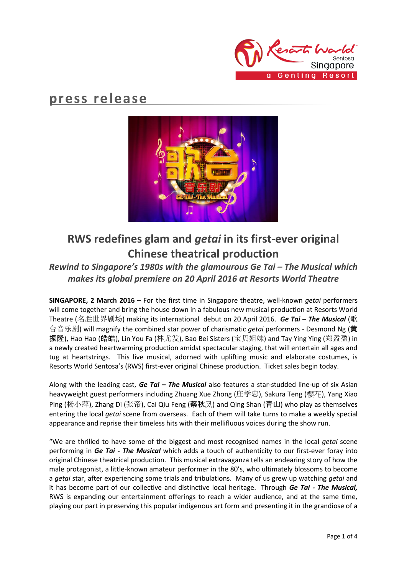

# **press release**



# **RWS redefines glam and** *getai* **in its first-ever original Chinese theatrical production**

## *Rewind to Singapore's 1980s with the glamourous Ge Tai – The Musical which makes its global premiere on 20 April 2016 at Resorts World Theatre*

**SINGAPORE, 2 March 2016** – For the first time in Singapore theatre, well-known *getai* performers will come together and bring the house down in a fabulous new musical production at Resorts World Theatre (名胜世界剧场) making its international debut on 20 April 2016. *Ge Tai – The Musical* (歌 台音乐剧) will magnify the combined star power of charismatic *getai* performers - Desmond Ng (黄 振隆), Hao Hao (皓皓), Lin You Fa (林尤发), Bao Bei Sisters (宝贝姐妹) and Tay Ying Ying (郑盈盈) in a newly created heartwarming production amidst spectacular staging, that will entertain all ages and tug at heartstrings. This live musical, adorned with uplifting music and elaborate costumes, is Resorts World Sentosa's (RWS) first-ever original Chinese production. Ticket sales begin today.

Along with the leading cast, *Ge Tai – The Musical* also features a star-studded line-up of six Asian heavyweight guest performers including Zhuang Xue Zhong (庄学忠), Sakura Teng (樱花), Yang Xiao Ping (杨小萍), Zhang Di (张帝), Cai Qiu Feng (蔡秋凤) and Qing Shan (青山) who play as themselves entering the local *getai* scene from overseas. Each of them will take turns to make a weekly special appearance and reprise their timeless hits with their mellifluous voices during the show run.

"We are thrilled to have some of the biggest and most recognised names in the local *getai* scene performing in *Ge Tai - The Musical* which adds a touch of authenticity to our first-ever foray into original Chinese theatrical production. This musical extravaganza tells an endearing story of how the male protagonist, a little-known amateur performer in the 80's, who ultimately blossoms to become a *getai* star, after experiencing some trials and tribulations. Many of us grew up watching *getai* and it has become part of our collective and distinctive local heritage. Through *Ge Tai - The Musical,*  RWS is expanding our entertainment offerings to reach a wider audience, and at the same time, playing our part in preserving this popular indigenous art form and presenting it in the grandiose of a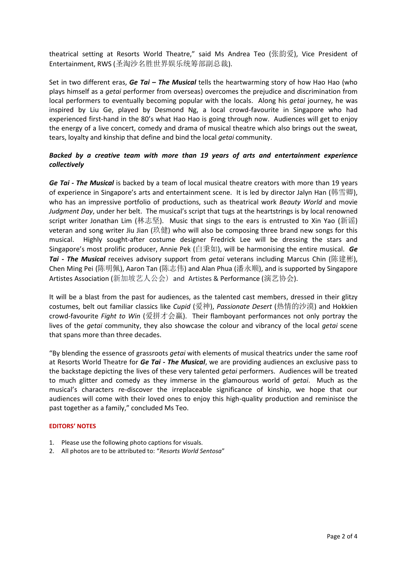theatrical setting at Resorts World Theatre," said Ms Andrea Teo (张韵爱), Vice President of Entertainment, RWS (圣淘沙名胜世界娱乐统筹部副总裁).

Set in two different eras, *Ge Tai – The Musical* tells the heartwarming story of how Hao Hao (who plays himself as a *getai* performer from overseas) overcomes the prejudice and discrimination from local performers to eventually becoming popular with the locals. Along his *getai* journey, he was inspired by Liu Ge, played by Desmond Ng, a local crowd-favourite in Singapore who had experienced first-hand in the 80's what Hao Hao is going through now. Audiences will get to enjoy the energy of a live concert, comedy and drama of musical theatre which also brings out the sweat, tears, loyalty and kinship that define and bind the local *getai* community.

### *Backed by a creative team with more than 19 years of arts and entertainment experience collectively*

*Ge Tai - The Musical* is backed by a team of local musical theatre creators with more than 19 years of experience in Singapore's arts and entertainment scene. It is led by director Jalyn Han (韩雪卿), who has an impressive portfolio of productions, such as theatrical work *Beauty World* and movie *Judgment Day*, under her belt. The musical's script that tugs at the heartstrings is by local renowned script writer Jonathan Lim (林志坚). Music that sings to the ears is entrusted to Xin Yao (新谣) veteran and song writer Jiu Jian (玖健) who will also be composing three brand new songs for this musical. Highly sought-after costume designer Fredrick Lee will be dressing the stars and Singapore's most prolific producer, Annie Pek (白秉如), will be harmonising the entire musical. *Ge Tai - The Musical* receives advisory support from *getai* veterans including Marcus Chin (陈建彬), Chen Ming Pei (陈明佩), Aaron Tan (陈志伟) and Alan Phua (潘永顺), and is supported by Singapore Artistes Association (新加坡艺人公会) and Artistes & Performance (演艺协会).

It will be a blast from the past for audiences, as the talented cast members, dressed in their glitzy costumes, belt out familiar classics like *Cupid* (爱神), *Passionate Desert* (热情的沙漠) and Hokkien crowd-favourite *Fight to Win* (爱拼才会赢). Their flamboyant performances not only portray the lives of the *getai* community, they also showcase the colour and vibrancy of the local *getai* scene that spans more than three decades.

"By blending the essence of grassroots *getai* with elements of musical theatrics under the same roof at Resorts World Theatre for *Ge Tai - The Musical*, we are providing audiences an exclusive pass to the backstage depicting the lives of these very talented *getai* performers. Audiences will be treated to much glitter and comedy as they immerse in the glamourous world of *getai*. Much as the musical's characters re-discover the irreplaceable significance of kinship, we hope that our audiences will come with their loved ones to enjoy this high-quality production and reminisce the past together as a family," concluded Ms Teo.

### **EDITORS' NOTES**

- 1. Please use the following photo captions for visuals.
- 2. All photos are to be attributed to: "*Resorts World Sentosa*"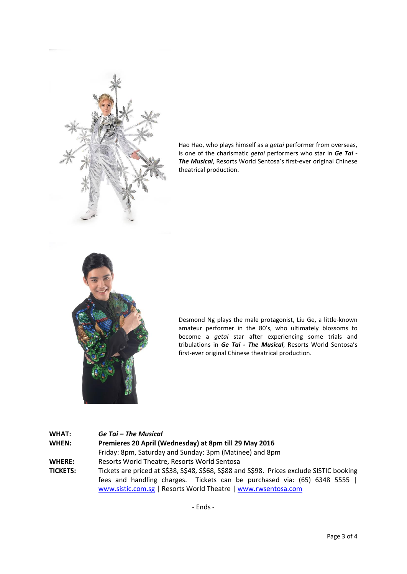

Hao Hao, who plays himself as a *getai* performer from overseas, is one of the charismatic *getai* performers who star in *Ge Tai - The Musical*, Resorts World Sentosa's first-ever original Chinese theatrical production.



Desmond Ng plays the male protagonist, Liu Ge, a little-known amateur performer in the 80's, who ultimately blossoms to become a *getai* star after experiencing some trials and tribulations in *Ge Tai - The Musical*, Resorts World Sentosa's first-ever original Chinese theatrical production.

#### **WHAT:** *Ge Tai – The Musical*

**WHEN: Premieres 20 April (Wednesday) at 8pm till 29 May 2016** Friday: 8pm, Saturday and Sunday: 3pm (Matinee) and 8pm **WHERE:** Resorts World Theatre, Resorts World Sentosa **TICKETS:** Tickets are priced at S\$38, S\$48, S\$68, S\$88 and S\$98. Prices exclude SISTIC booking

fees and handling charges. Tickets can be purchased via: (65) 6348 5555 | [www.sistic.com.sg](http://www.sistic.com.sg/) | Resorts World Theatre [| www.rwsentosa.com](http://www.rwsentosa.com/)